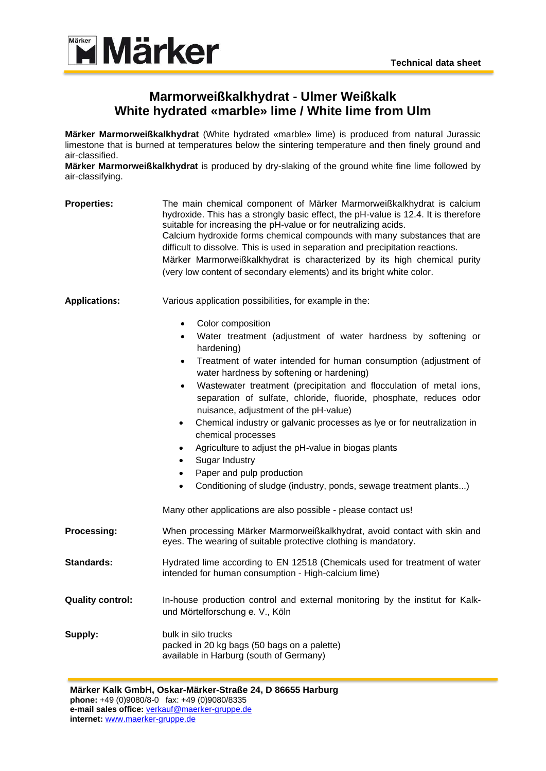

## **Marmorweißkalkhydrat - Ulmer Weißkalk White hydrated «marble» lime / White lime from Ulm**

**Märker Marmorweißkalkhydrat** (White hydrated «marble» lime) is produced from natural Jurassic limestone that is burned at temperatures below the sintering temperature and then finely ground and air-classified.

**Märker Marmorweißkalkhydrat** is produced by dry-slaking of the ground white fine lime followed by air-classifying.

| <b>Properties:</b>      | The main chemical component of Märker Marmorweißkalkhydrat is calcium<br>hydroxide. This has a strongly basic effect, the pH-value is 12.4. It is therefore<br>suitable for increasing the pH-value or for neutralizing acids.<br>Calcium hydroxide forms chemical compounds with many substances that are<br>difficult to dissolve. This is used in separation and precipitation reactions.<br>Märker Marmorweißkalkhydrat is characterized by its high chemical purity<br>(very low content of secondary elements) and its bright white color.                                                                                                                                                                                                                                                                                                                   |  |  |
|-------------------------|--------------------------------------------------------------------------------------------------------------------------------------------------------------------------------------------------------------------------------------------------------------------------------------------------------------------------------------------------------------------------------------------------------------------------------------------------------------------------------------------------------------------------------------------------------------------------------------------------------------------------------------------------------------------------------------------------------------------------------------------------------------------------------------------------------------------------------------------------------------------|--|--|
| <b>Applications:</b>    | Various application possibilities, for example in the:<br>Color composition<br>$\bullet$<br>Water treatment (adjustment of water hardness by softening or<br>$\bullet$<br>hardening)<br>Treatment of water intended for human consumption (adjustment of<br>$\bullet$<br>water hardness by softening or hardening)<br>Wastewater treatment (precipitation and flocculation of metal ions,<br>$\bullet$<br>separation of sulfate, chloride, fluoride, phosphate, reduces odor<br>nuisance, adjustment of the pH-value)<br>Chemical industry or galvanic processes as lye or for neutralization in<br>$\bullet$<br>chemical processes<br>Agriculture to adjust the pH-value in biogas plants<br>$\bullet$<br>Sugar Industry<br>$\bullet$<br>Paper and pulp production<br>$\bullet$<br>Conditioning of sludge (industry, ponds, sewage treatment plants)<br>$\bullet$ |  |  |
|                         | Many other applications are also possible - please contact us!                                                                                                                                                                                                                                                                                                                                                                                                                                                                                                                                                                                                                                                                                                                                                                                                     |  |  |
| Processing:             | When processing Märker Marmorweißkalkhydrat, avoid contact with skin and<br>eyes. The wearing of suitable protective clothing is mandatory.                                                                                                                                                                                                                                                                                                                                                                                                                                                                                                                                                                                                                                                                                                                        |  |  |
| <b>Standards:</b>       | Hydrated lime according to EN 12518 (Chemicals used for treatment of water<br>intended for human consumption - High-calcium lime)                                                                                                                                                                                                                                                                                                                                                                                                                                                                                                                                                                                                                                                                                                                                  |  |  |
| <b>Quality control:</b> | In-house production control and external monitoring by the institut for Kalk-<br>und Mörtelforschung e. V., Köln                                                                                                                                                                                                                                                                                                                                                                                                                                                                                                                                                                                                                                                                                                                                                   |  |  |
| Supply:                 | bulk in silo trucks<br>packed in 20 kg bags (50 bags on a palette)<br>available in Harburg (south of Germany)                                                                                                                                                                                                                                                                                                                                                                                                                                                                                                                                                                                                                                                                                                                                                      |  |  |